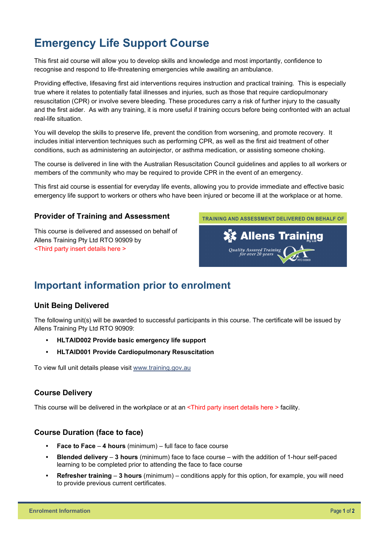# **Emergency Life Support Course**

This first aid course will allow you to develop skills and knowledge and most importantly, confidence to recognise and respond to life-threatening emergencies while awaiting an ambulance.

Providing effective, lifesaving first aid interventions requires instruction and practical training. This is especially true where it relates to potentially fatal illnesses and injuries, such as those that require cardiopulmonary resuscitation (CPR) or involve severe bleeding. These procedures carry a risk of further injury to the casualty and the first aider. As with any training, it is more useful if training occurs before being confronted with an actual real-life situation.

You will develop the skills to preserve life, prevent the condition from worsening, and promote recovery. It includes initial intervention techniques such as performing CPR, as well as the first aid treatment of other conditions, such as administering an autoinjector, or asthma medication, or assisting someone choking.

The course is delivered in line with the Australian Resuscitation Council guidelines and applies to all workers or members of the community who may be required to provide CPR in the event of an emergency.

This first aid course is essential for everyday life events, allowing you to provide immediate and effective basic emergency life support to workers or others who have been injured or become ill at the workplace or at home.

#### **Provider of Training and Assessment**

This course is delivered and assessed on behalf of Allens Training Pty Ltd RTO 90909 by <Third party insert details here >



## **Important information prior to enrolment**

#### **Unit Being Delivered**

The following unit(s) will be awarded to successful participants in this course. The certificate will be issued by Allens Training Pty Ltd RTO 90909:

- **HLTAID002 Provide basic emergency life support**
- **HLTAID001 Provide Cardiopulmonary Resuscitation**

To view full unit details please visit [www.training.gov.au](https://training.gov.au/Training/Details/HLTAID001) 

#### **Course Delivery**

This course will be delivered in the workplace or at an <Third party insert details here > facility.

#### **Course Duration (face to face)**

- **Face to Face 4 hours** (minimum) full face to face course
- **Blended delivery 3 hours** (minimum) face to face course with the addition of 1-hour self-paced learning to be completed prior to attending the face to face course
- **Refresher training 3 hours** (minimum) conditions apply for this option, for example, you will need to provide previous current certificates.